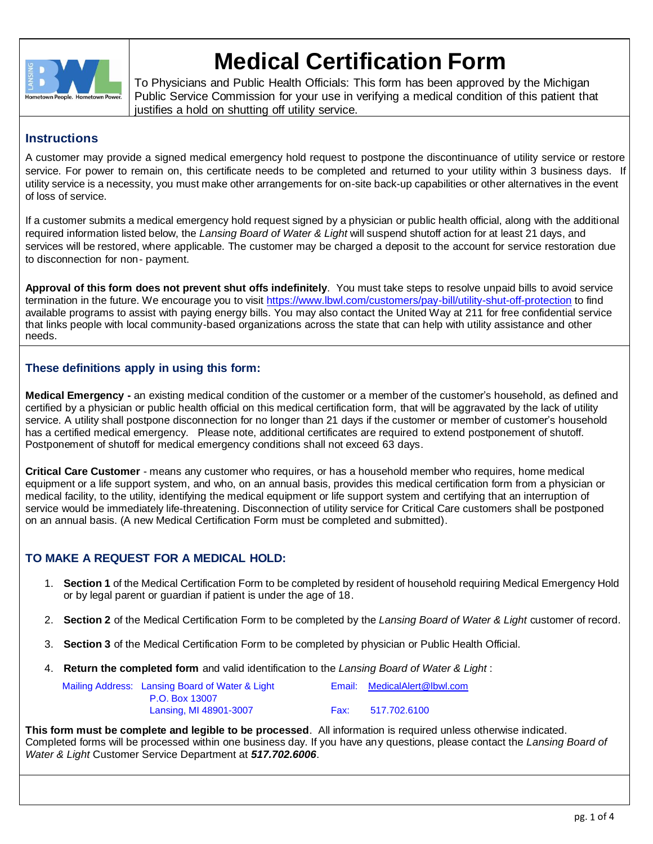

# **Medical Certification Form**

To Physicians and Public Health Officials: This form has been approved by the Michigan Public Service Commission for your use in verifying a medical condition of this patient that justifies a hold on shutting off utility service.

#### **Instructions**

A customer may provide a signed medical emergency hold request to postpone the discontinuance of utility service or restore service. For power to remain on, this certificate needs to be completed and returned to your utility within 3 business days. If utility service is a necessity, you must make other arrangements for on-site back-up capabilities or other alternatives in the event of loss of service.

If a customer submits a medical emergency hold request signed by a physician or public health official, along with the additional required information listed below, the *Lansing Board of Water & Light* will suspend shutoff action for at least 21 days, and services will be restored, where applicable. The customer may be charged a deposit to the account for service restoration due to disconnection for non- payment.

**Approval of this form does not prevent shut offs indefinitely**. You must take steps to resolve unpaid bills to avoid service termination in the future. We encourage you to visit<https://www.lbwl.com/customers/pay-bill/utility-shut-off-protection> to find available programs to assist with paying energy bills. You may also contact the United Way at 211 for free confidential service that links people with local community-based organizations across the state that can help with utility assistance and other needs.

#### **These definitions apply in using this form:**

**Medical Emergency -** an existing medical condition of the customer or a member of the customer's household, as defined and certified by a physician or public health official on this medical certification form, that will be aggravated by the lack of utility service. A utility shall postpone disconnection for no longer than 21 days if the customer or member of customer's household has a certified medical emergency. Please note, additional certificates are required to extend postponement of shutoff. Postponement of shutoff for medical emergency conditions shall not exceed 63 days.

**Critical Care Customer** - means any customer who requires, or has a household member who requires, home medical equipment or a life support system, and who, on an annual basis, provides this medical certification form from a physician or medical facility, to the utility, identifying the medical equipment or life support system and certifying that an interruption of service would be immediately life-threatening. Disconnection of utility service for Critical Care customers shall be postponed on an annual basis. (A new Medical Certification Form must be completed and submitted).

### **TO MAKE A REQUEST FOR A MEDICAL HOLD:**

- 1. **Section 1** of the Medical Certification Form to be completed by resident of household requiring Medical Emergency Hold or by legal parent or guardian if patient is under the age of 18.
- 2. **Section 2** of the Medical Certification Form to be completed by the *Lansing Board of Water & Light* customer of record.
- 3. **Section 3** of the Medical Certification Form to be completed by physician or Public Health Official.
- 4. **Return the completed form** and valid identification to the *Lansing Board of Water & Light* :

| Mailing Address: Lansing Board of Water & Light |      | Email: MedicalAlert@lbwl.com |  |
|-------------------------------------------------|------|------------------------------|--|
| P.O. Box 13007                                  |      |                              |  |
| Lansing, MI 48901-3007                          | Fax: | 517.702.6100                 |  |

**This form must be complete and legible to be processed**. All information is required unless otherwise indicated. Completed forms will be processed within one business day. If you have any questions, please contact the *Lansing Board of Water & Light* Customer Service Department at *517.702.6006*.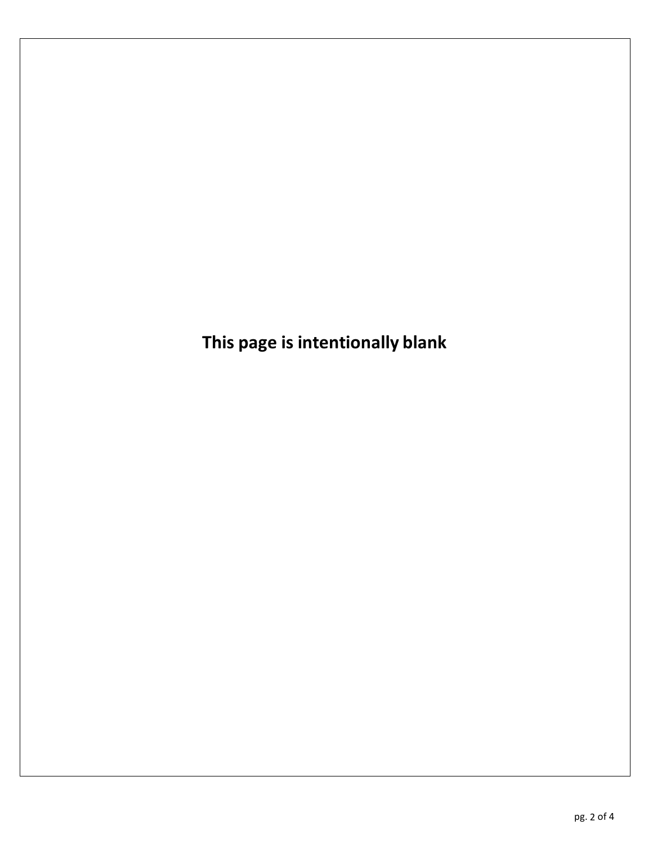**This page is intentionally blank**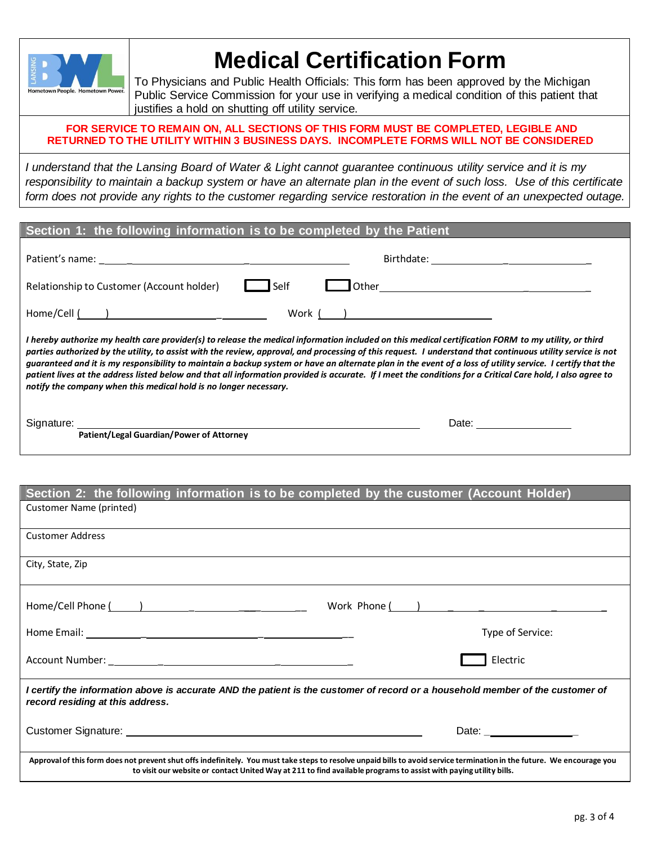

## **Medical Certification Form**

To Physicians and Public Health Officials: This form has been approved by the Michigan Public Service Commission for your use in verifying a medical condition of this patient that justifies a hold on shutting off utility service.

#### **FOR SERVICE TO REMAIN ON, ALL SECTIONS OF THIS FORM MUST BE COMPLETED, LEGIBLE AND RETURNED TO THE UTILITY WITHIN 3 BUSINESS DAYS. INCOMPLETE FORMS WILL NOT BE CONSIDERED**

I understand that the Lansing Board of Water & Light cannot guarantee continuous utility service and it is my responsibility to maintain a backup system or have an alternate plan in the event of such loss. Use of this certificate form does not provide any rights to the customer regarding service restoration in the event of an unexpected outage.

### **Section 1: the following information is to be completed by the Patient** Patient's name: <br>
Patient's name: <br>
Birthdate: Relationship to Customer (Account holder) Self Other Other Customer Customer (Account holder)  $Home/Cell$   $)$  Work  $($   $)$ I hereby authorize my health care provider(s) to release the medical information included on this medical certification FORM to my utility, or third parties authorized by the utility, to assist with the review, approval, and processing of this request. I understand that continuous utility service is not quaranteed and it is my responsibility to maintain a backup system or have an alternate plan in the event of a loss of utility service. I certify that the patient lives at the address listed below and that all information provided is accurate. If I meet the conditions for a Critical Care hold, I also agree to *notify the company when this medical hold is no longer necessary.* Signature: **Patient/Legal Guardian/Power of Attorney** Date:

| Section 2: the following information is to be completed by the customer (Account Holder)                                                                                                                                                                                                     |                                        |  |  |  |
|----------------------------------------------------------------------------------------------------------------------------------------------------------------------------------------------------------------------------------------------------------------------------------------------|----------------------------------------|--|--|--|
| Customer Name (printed)                                                                                                                                                                                                                                                                      |                                        |  |  |  |
|                                                                                                                                                                                                                                                                                              |                                        |  |  |  |
| <b>Customer Address</b>                                                                                                                                                                                                                                                                      |                                        |  |  |  |
| City, State, Zip                                                                                                                                                                                                                                                                             |                                        |  |  |  |
|                                                                                                                                                                                                                                                                                              |                                        |  |  |  |
|                                                                                                                                                                                                                                                                                              |                                        |  |  |  |
|                                                                                                                                                                                                                                                                                              |                                        |  |  |  |
|                                                                                                                                                                                                                                                                                              | Type of Service:                       |  |  |  |
|                                                                                                                                                                                                                                                                                              | Electric                               |  |  |  |
|                                                                                                                                                                                                                                                                                              |                                        |  |  |  |
| I certify the information above is accurate AND the patient is the customer of record or a household member of the customer of<br>record residing at this address.                                                                                                                           |                                        |  |  |  |
|                                                                                                                                                                                                                                                                                              |                                        |  |  |  |
|                                                                                                                                                                                                                                                                                              | Date: $\qquad \qquad \qquad \qquad \_$ |  |  |  |
|                                                                                                                                                                                                                                                                                              |                                        |  |  |  |
| Approval of this form does not prevent shut offs indefinitely. You must take steps to resolve unpaid bills to avoid service termination in the future. We encourage you<br>to visit our website or contact United Way at 211 to find available programs to assist with paying utility bills. |                                        |  |  |  |